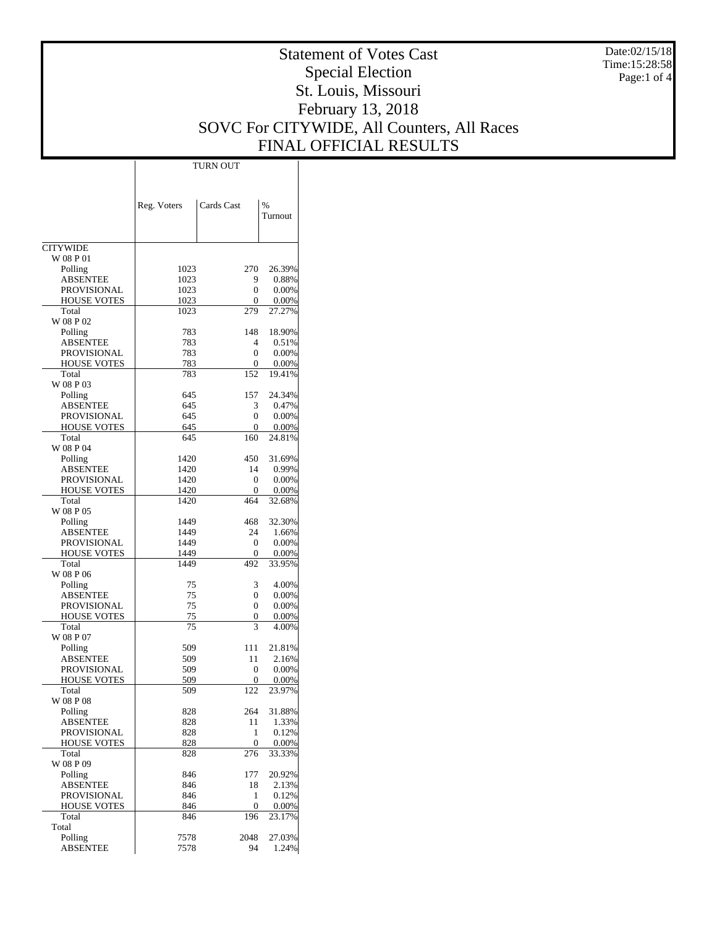Statement of Votes Cast Special Election St. Louis, Missouri February 13, 2018 SOVC For CITYWIDE, All Counters, All Races FINAL OFFICIAL RESULTS Date:02/15/18 Time:15:28:58 Page:1 of 4 **CITYWIDE**  W 08 P 01 Polling ABSENTEE PROVISIONAL HOUSE VOTES Total W 08 P 02 Polling ABSENTEE PROVISIONAL HOUSE VOTES Total W 08 P 03 Polling ABSENTEE PROVISIONAL HOUSE VOTES Total W 08 P 04 Polling ABSENTEE PROVISIONAL HOUSE VOTES Total W 08 P 05 Polling ABSENTEE PROVISIONAL HOUSE VOTES Total W 08 P 06 Polling ABSENTEE PROVISIONAL HOUSE VOTES Total W 08 P 07 Polling ABSENTEE PROVISIONAL HOUSE VOTES Total W 08 P 08 Polling ABSENTEE PROVISIONAL HOUSE VOTES Total W 08 P 09 Polling ABSENTEE PROVISIONAL HOUSE VOTES Total Total Polling Reg. Voters  $\begin{array}{|c|c|c|c|c|c|c|c|c|} \hline \end{array}$ Turnout TURN OUT 1023 270 26.39%<br>1023 9 0.88% 1023 9 0.88%<br>1023 0 0.00% 1023 0 0.00%<br>1023 0 0.00%  $\frac{0.00\%}{279.27.27\%}$ 1023 279 27.27% 783 148 18.90% 783 4 0.51%<br>783 0 0.00% 0.00% 783 0 0.00%<br>783 152 19.41% 19.41% 645 157 24.34%<br>645 3 0.47% 645 3 0.47%<br>645 0 0.00% 645 0 0.00% 0.00% 645 160 24.81% 1420 450 31.69%<br>1420 14 0.99% 1420 14 0.99%<br>1420 0 0.00% 0.00% 1420 0 0.00%<br>1420 464 32.68% 32.68% 1449 468 32.30%<br>1449 24 1.66% 1.66% 1449 0 0.00%<br>1449 0 0.00% 0.00% 1449 492 33.95% 75 3 4.00% 75 0 0.00% 75 0 0.00%  $\frac{75}{75}$  0 0.00%<br>  $\frac{0.00\%}{3}$  4.00% 4.00% 509 111 21.81%<br>509 11 2.16% 509 11 2.16% 509 0 0.00% 509 0 0.00%<br>509 122 23.97% 23.97% 828 264 31.88%<br>828 11 1.33% 828 11 1.33%<br>828 1 0.12%  $\begin{array}{cc} 1 & 0.12\% \\ 0 & 0.00\% \end{array}$ 828 0 0.00%<br>828 276 33.33% 33.33% 846 177 20.92%<br>846 18 2.13% 2.13% 846 1 0.12%<br>846 0 0.00% 846 0 0.00%<br>846 196 23.17% 23.17% 7578 2048 27.03% 1.24%

ABSENTEE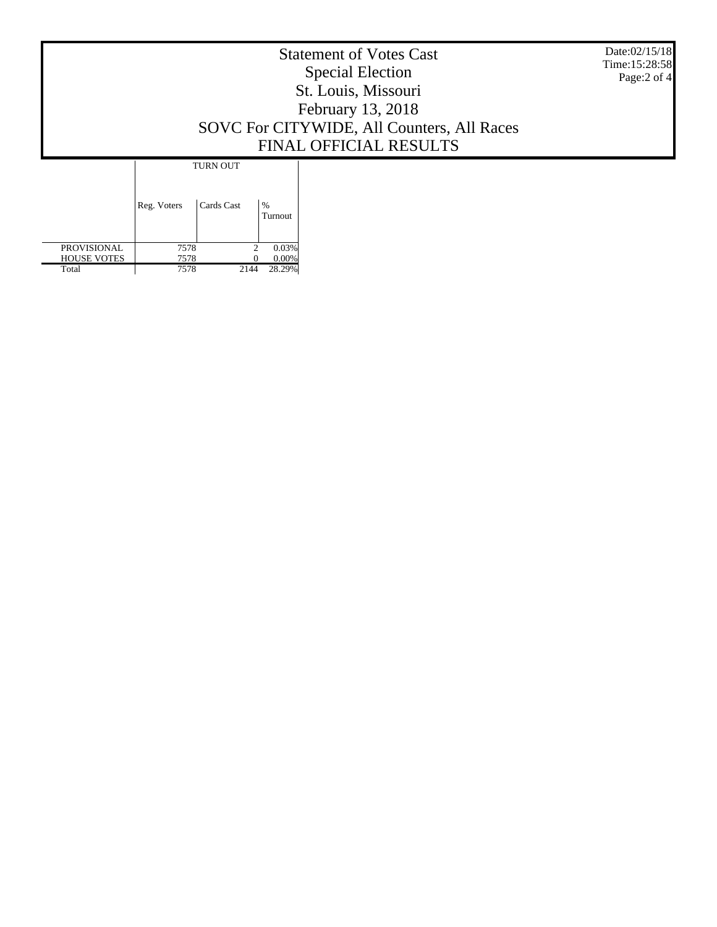|  | Date:02/15/18<br>Time:15:28:58<br>Page:2 of 4 |                               |                 |  |  |
|--|-----------------------------------------------|-------------------------------|-----------------|--|--|
|  | Reg. Voters                                   | <b>TURN OUT</b><br>Cards Cast | $\%$<br>Turnout |  |  |

 PROVISIONAL HOUSE VOTES 7578 2 0.03% 7578 0 0.00%  $\begin{array}{r|cc} \hline 7578 & 2 & 0.03\% \ \hline 7578 & 0 & 0.00\% \ \hline 7578 & 2144 & 28.29\% \ \hline \end{array}$ 

Total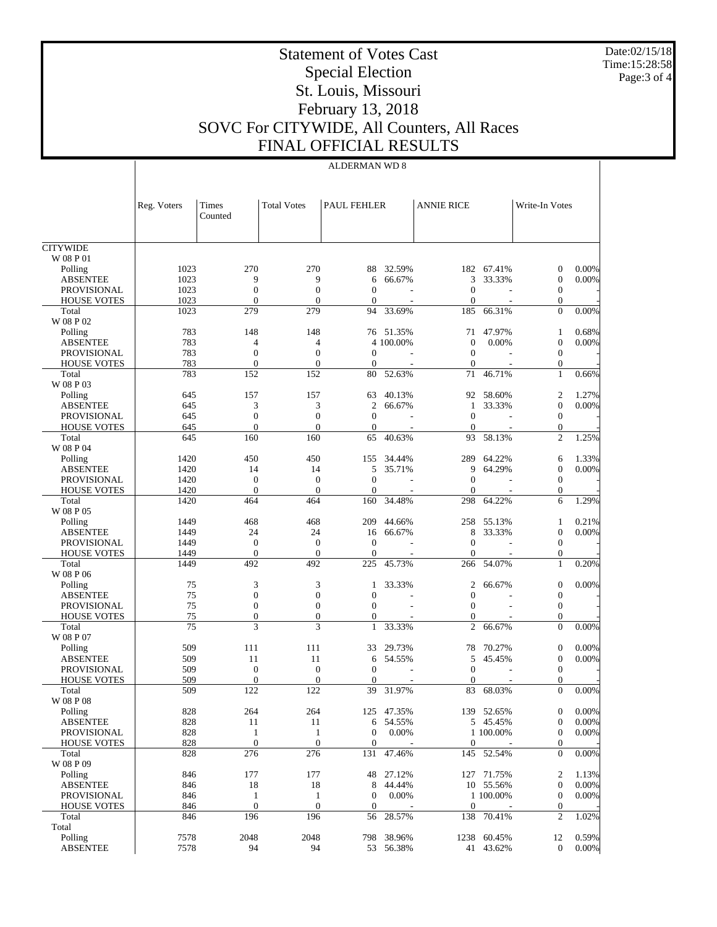Date:02/15/18 Time:15:28:58 Page:3 of 4

## Statement of Votes Cast Special Election St. Louis, Missouri February 13, 2018 SOVC For CITYWIDE, All Counters, All Races FINAL OFFICIAL RESULTS

## ALDERMAN WD 8

|                                          | Reg. Voters  | Times<br>Counted               | <b>Total Votes</b>                   | PAUL FEHLER                          |                  | <b>ANNIE RICE</b>                |                  | Write-In Votes                   |                |
|------------------------------------------|--------------|--------------------------------|--------------------------------------|--------------------------------------|------------------|----------------------------------|------------------|----------------------------------|----------------|
| <b>CITYWIDE</b>                          |              |                                |                                      |                                      |                  |                                  |                  |                                  |                |
| $\rm W$ 08 P $01$                        |              |                                |                                      |                                      |                  |                                  |                  |                                  |                |
| Polling                                  | 1023         | 270                            | 270                                  | 88                                   | 32.59%           |                                  | 182 67.41%       | $\mathbf{0}$                     | 0.00%          |
| <b>ABSENTEE</b>                          | 1023         | 9                              | 9                                    | 6                                    | 66.67%           | 3                                | 33.33%           | $\mathbf{0}$                     | 0.00%          |
| PROVISIONAL                              | 1023         | $\boldsymbol{0}$               | $\boldsymbol{0}$                     | $\mathbf{0}$                         |                  | $\theta$                         |                  | $\boldsymbol{0}$                 |                |
| <b>HOUSE VOTES</b>                       | 1023         | $\mathbf{0}$                   | $\overline{0}$                       | $\overline{0}$                       |                  | $\overline{0}$                   |                  | $\mathbf{0}$                     |                |
| Total                                    | 1023         | 279                            | 279                                  | 94                                   | 33.69%           | 185                              | 66.31%           | $\theta$                         | 0.00%          |
| W 08 P 02                                | 783          |                                |                                      |                                      | 51.35%           |                                  | 47.97%           |                                  | 0.68%          |
| Polling<br><b>ABSENTEE</b>               | 783          | 148<br>$\overline{4}$          | 148<br>4                             | 76                                   | 4 100.00%        | 71<br>$\boldsymbol{0}$           | 0.00%            | 1<br>$\mathbf{0}$                | 0.00%          |
| <b>PROVISIONAL</b>                       | 783          | $\mathbf{0}$                   | $\boldsymbol{0}$                     | $\overline{0}$                       |                  | $\theta$                         |                  | $\boldsymbol{0}$                 |                |
| <b>HOUSE VOTES</b>                       | 783          | $\mathbf{0}$                   | $\overline{0}$                       | $\boldsymbol{0}$                     |                  | $\boldsymbol{0}$                 |                  | $\mathbf{0}$                     |                |
| Total                                    | 783          | 152                            | 152                                  | 80                                   | 52.63%           | 71                               | 46.71%           | 1                                | 0.66%          |
| W 08 P 03                                |              |                                |                                      |                                      |                  |                                  |                  |                                  |                |
| Polling                                  | 645          | 157                            | 157                                  | 63                                   | 40.13%           | 92                               | 58.60%           | $\mathfrak{2}$                   | 1.27%          |
| <b>ABSENTEE</b>                          | 645          | 3                              | 3                                    | $\boldsymbol{2}$                     | 66.67%           | 1                                | 33.33%           | $\boldsymbol{0}$                 | 0.00%          |
| PROVISIONAL                              | 645          | $\boldsymbol{0}$               | $\boldsymbol{0}$                     | $\boldsymbol{0}$                     |                  | $\theta$                         |                  | $\boldsymbol{0}$                 |                |
| <b>HOUSE VOTES</b>                       | 645          | $\mathbf{0}$                   | $\theta$                             | $\overline{0}$                       |                  | $\overline{0}$                   |                  | $\mathbf{0}$                     |                |
| Total                                    | 645          | 160                            | 160                                  | 65                                   | 40.63%           | 93                               | 58.13%           | $\overline{c}$                   | 1.25%          |
| W 08 P 04                                |              |                                |                                      |                                      |                  |                                  |                  |                                  |                |
| Polling                                  | 1420<br>1420 | 450<br>14                      | 450<br>14                            | 155<br>5                             | 34.44%<br>35.71% | 289<br>9                         | 64.22%<br>64.29% | 6<br>$\mathbf{0}$                | 1.33%<br>0.00% |
| <b>ABSENTEE</b><br><b>PROVISIONAL</b>    | 1420         | $\boldsymbol{0}$               | $\boldsymbol{0}$                     | $\mathbf{0}$                         |                  | $\mathbf{0}$                     |                  | $\boldsymbol{0}$                 |                |
| <b>HOUSE VOTES</b>                       | 1420         | $\mathbf{0}$                   | $\mathbf{0}$                         | $\mathbf{0}$                         |                  | $\overline{0}$                   |                  | $\mathbf{0}$                     |                |
| Total                                    | 1420         | 464                            | 464                                  | 160                                  | 34.48%           | 298                              | 64.22%           | 6                                | 1.29%          |
| W 08 P 05                                |              |                                |                                      |                                      |                  |                                  |                  |                                  |                |
| Polling                                  | 1449         | 468                            | 468                                  | 209                                  | 44.66%           | 258                              | 55.13%           | 1                                | 0.21%          |
| <b>ABSENTEE</b>                          | 1449         | 24                             | 24                                   | 16                                   | 66.67%           | 8                                | 33.33%           | $\mathbf{0}$                     | 0.00%          |
| <b>PROVISIONAL</b>                       | 1449         | $\mathbf{0}$                   | $\mathbf{0}$                         | $\boldsymbol{0}$                     |                  | $\theta$                         |                  | $\boldsymbol{0}$                 |                |
| <b>HOUSE VOTES</b>                       | 1449         | $\mathbf{0}$                   | $\theta$                             | $\mathbf{0}$                         |                  | $\overline{0}$                   |                  | $\mathbf{0}$                     |                |
| Total                                    | 1449         | 492                            | 492                                  | 225                                  | 45.73%           | 266                              | 54.07%           | 1                                | 0.20%          |
| W 08 P 06                                |              |                                |                                      |                                      |                  |                                  |                  |                                  |                |
| Polling                                  | 75           | 3                              | 3                                    | 1                                    | 33.33%           | $\overline{2}$                   | 66.67%           | $\boldsymbol{0}$                 | 0.00%          |
| <b>ABSENTEE</b>                          | 75<br>75     | $\mathbf{0}$<br>$\mathbf{0}$   | $\boldsymbol{0}$<br>$\boldsymbol{0}$ | $\boldsymbol{0}$<br>$\overline{0}$   |                  | $\overline{0}$<br>$\overline{0}$ |                  | $\boldsymbol{0}$                 |                |
| <b>PROVISIONAL</b><br><b>HOUSE VOTES</b> | 75           | $\mathbf{0}$                   | $\boldsymbol{0}$                     | $\theta$                             |                  | $\boldsymbol{0}$                 |                  | $\boldsymbol{0}$<br>$\theta$     |                |
| Total                                    | 75           | 3                              | 3                                    | $\mathbf{1}$                         | 33.33%           | $\overline{2}$                   | 66.67%           | $\Omega$                         | 0.00%          |
| W 08 P 07                                |              |                                |                                      |                                      |                  |                                  |                  |                                  |                |
| Polling                                  | 509          | 111                            | 111                                  | 33                                   | 29.73%           | 78                               | 70.27%           | $\mathbf{0}$                     | 0.00%          |
| <b>ABSENTEE</b>                          | 509          | 11                             | 11                                   | 6                                    | 54.55%           | 5                                | 45.45%           | $\mathbf{0}$                     | 0.00%          |
| PROVISIONAL                              | 509          | $\boldsymbol{0}$               | $\boldsymbol{0}$                     | $\mathbf{0}$                         |                  | $\theta$                         |                  | $\boldsymbol{0}$                 |                |
| <b>HOUSE VOTES</b>                       | 509          | $\mathbf{0}$                   | $\Omega$                             | $\theta$                             |                  | $\overline{0}$                   |                  | $\theta$                         |                |
| Total                                    | 509          | 122                            | 122                                  | 39                                   | 31.97%           | 83                               | 68.03%           | $\theta$                         | 0.00%          |
| W 08 P 08                                |              |                                |                                      |                                      |                  |                                  |                  |                                  |                |
| Polling                                  | 828          | 264                            | 264                                  |                                      | 125 47.35%       |                                  | 139 52.65%       | $\overline{0}$                   | $0.00\%$       |
| ABSENTEE                                 | 828          | 11                             | 11                                   |                                      | 6 54.55%         |                                  | 5 45.45%         | $\mathbf{0}$                     | $0.00\%$       |
| <b>PROVISIONAL</b><br><b>HOUSE VOTES</b> | 828<br>828   | $\mathbf{1}$<br>$\overline{0}$ | $\mathbf{1}$<br>$\boldsymbol{0}$     | $\boldsymbol{0}$<br>$\boldsymbol{0}$ | 0.00%            | $\boldsymbol{0}$                 | 1 100.00%        | $\mathbf{0}$<br>$\boldsymbol{0}$ | $0.00\%$       |
| Total                                    | 828          | 276                            | 276                                  | 131                                  | 47.46%           | 145                              | 52.54%           | $\Omega$                         | $0.00\%$       |
| W 08 P 09                                |              |                                |                                      |                                      |                  |                                  |                  |                                  |                |
| Polling                                  | 846          | 177                            | 177                                  | 48                                   | 27.12%           |                                  | 127 71.75%       | 2                                | 1.13%          |
| <b>ABSENTEE</b>                          | 846          | 18                             | 18                                   | 8                                    | 44.44%           |                                  | 10 55.56%        | $\mathbf 0$                      | $0.00\%$       |
| <b>PROVISIONAL</b>                       | 846          | 1                              | $\mathbf{1}$                         | $\boldsymbol{0}$                     | 0.00%            |                                  | 1 100.00%        | $\mathbf{0}$                     | $0.00\%$       |
| <b>HOUSE VOTES</b>                       | 846          | $\mathbf{0}$                   | $\mathbf{0}$                         | $\mathbf{0}$                         |                  | $\boldsymbol{0}$                 |                  | $\mathbf{0}$                     |                |
| Total                                    | 846          | 196                            | 196                                  | 56                                   | 28.57%           | 138                              | 70.41%           | $\overline{2}$                   | 1.02%          |
| Total                                    |              |                                |                                      |                                      |                  |                                  |                  |                                  |                |
| Polling                                  | 7578         | 2048                           | 2048                                 | 798                                  | 38.96%           | 1238                             | 60.45%           | 12                               | 0.59%          |
| <b>ABSENTEE</b>                          | 7578         | 94                             | 94                                   |                                      | 53 56.38%        |                                  | 41 43.62%        | $\theta$                         | $0.00\%$       |